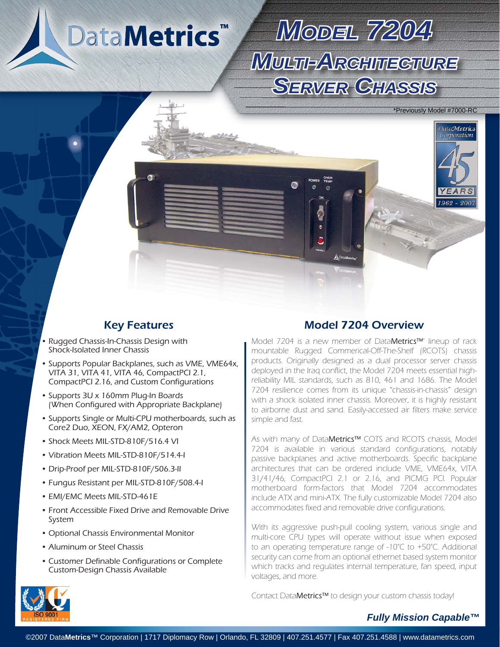**DataMetrics™** 

 $\bullet$ 

# *MODEL7204 MULTI-ARCHITECTURE CHITECTURE*  **SERVER GHASSIS**

\*Previously Model #7000-RC

*DataMetrics* Corporation

1962 - 200

- Rugged Chassis-In-Chassis Design with Shock-Isolated Inner Chassis •
- Supports Popular Backplanes, such as VME, VME64x, VITA 31, VITA 41, VITA 46, CompactPCI 2.1, CompactPCI 2.16, and Custom Configurations
- Supports 3U x 160mm Plug-In Boards (When Configured with Appropriate Backplane)
- Supports Single or Multi-CPU motherboards, such as Core2 Duo, XEON, FX/AM2, Opteron
- Shock Meets MIL-STD-810F/516.4 VI
- Vibration Meets MIL-STD-810F/514.4-I
- Drip-Proof per MIL-STD-810F/506.3-II
- Fungus Resistant per MIL-STD-810F/508.4-I
- EMI/EMC Meets MIL-STD-461E
- Front Accessible Fixed Drive and Removable Drive System
- Optional Chassis Environmental Monitor
- Aluminum or Steel Chassis
- Customer Definable Configurations or Complete Custom-Design Chassis Available

#### Key Features Model 7204 Overview

Model 7204 is a new member of DataMetrics™' lineup of rack mountable Rugged Commerical-Off-The-Shelf (RCOTS) chassis products. Originally designed as a dual processor server chassis deployed in the Iraq conflict, the Model 7204 meets essential highreliability MIL standards, such as 810, 461 and 1686. The Model 7204 resilience comes from its unique "chassis-in-chassis" design with a shock isolated inner chassis. Moreover, it is highly resistant to airborne dust and sand. Easily-accessed air filters make service simple and fast.

As with many of DataMetrics™ COTS and RCOTS chassis, Model 7204 is available in various standard configurations, notably passive backplanes and active motherboards. Specific backplane architectures that can be ordered include VME, VME64x, VITA 31/41/46, CompactPCI 2.1 or 2.16, and PICMG PCI. Popular motherboard form-factors that Model 7204 accommodates include ATX and mini-ATX. The fully customizable Model 7204 also accommodates fixed and removable drive configurations.

With its aggressive push-pull cooling system, various single and multi-core CPU types will operate without issue when exposed to an operating temperature range of -10°C to +50°C. Additional security can come from an optional ethernet based system monitor which tracks and regulates internal temperature, fan speed, input voltages, and more.

Contact DataMetrics™ to design your custom chassis today!



#### *Fully Mission Capable™*